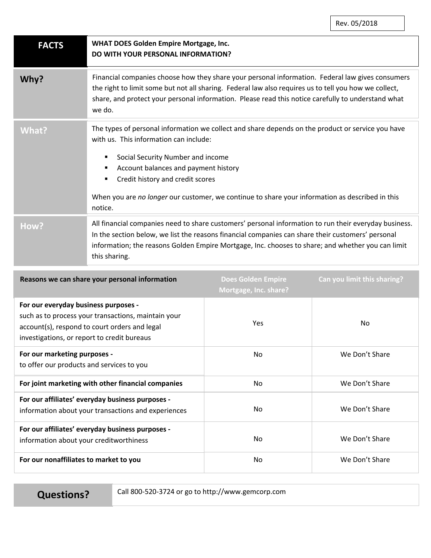| <b>FACTS</b>                                                                                        | <b>WHAT DOES Golden Empire Mortgage, Inc.</b><br>DO WITH YOUR PERSONAL INFORMATION?                                                                                                                                                                                                                                                                                        |  |
|-----------------------------------------------------------------------------------------------------|----------------------------------------------------------------------------------------------------------------------------------------------------------------------------------------------------------------------------------------------------------------------------------------------------------------------------------------------------------------------------|--|
| Why?                                                                                                | Financial companies choose how they share your personal information. Federal law gives consumers<br>the right to limit some but not all sharing. Federal law also requires us to tell you how we collect,<br>share, and protect your personal information. Please read this notice carefully to understand what<br>we do.                                                  |  |
| <b>What?</b>                                                                                        | The types of personal information we collect and share depends on the product or service you have<br>with us. This information can include:<br>Social Security Number and income<br>Account balances and payment history<br>Credit history and credit scores<br>When you are no longer our customer, we continue to share your information as described in this<br>notice. |  |
| How?                                                                                                | All financial companies need to share customers' personal information to run their everyday business.<br>In the section below, we list the reasons financial companies can share their customers' personal<br>information; the reasons Golden Empire Mortgage, Inc. chooses to share; and whether you can limit<br>this sharing.                                           |  |
| Does Golden Emnire<br>Can you limit this sharing?<br>Rescons we can share your nersonal information |                                                                                                                                                                                                                                                                                                                                                                            |  |

| Reasons we can share your personal information                                                                                                                                              | <b>Does Golden Empire</b><br>Mortgage, Inc. share? | Can you limit this sharing? |
|---------------------------------------------------------------------------------------------------------------------------------------------------------------------------------------------|----------------------------------------------------|-----------------------------|
| For our everyday business purposes -<br>such as to process your transactions, maintain your<br>account(s), respond to court orders and legal<br>investigations, or report to credit bureaus | <b>Yes</b>                                         | <b>No</b>                   |
| For our marketing purposes -<br>to offer our products and services to you                                                                                                                   | No                                                 | We Don't Share              |
| For joint marketing with other financial companies                                                                                                                                          | No                                                 | We Don't Share              |
| For our affiliates' everyday business purposes -<br>information about your transactions and experiences                                                                                     | No.                                                | We Don't Share              |
| For our affiliates' everyday business purposes -<br>information about your creditworthiness                                                                                                 | No.                                                | We Don't Share              |
| For our nonaffiliates to market to you                                                                                                                                                      | No                                                 | We Don't Share              |

**Questions?** Call 800-520-3724 or go to http://www.gemcorp.com